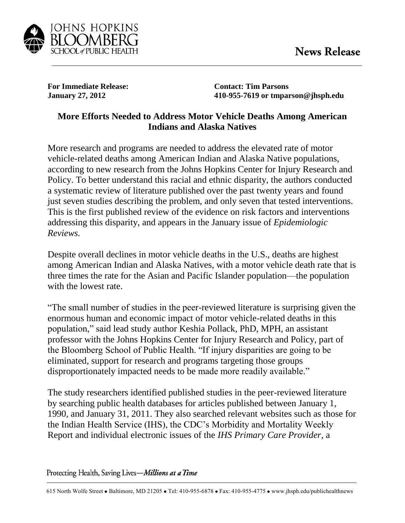

**For Immediate Release: Contact: Tim Parsons**

**January 27, 2012 410-955-7619 or tmparson@jhsph.edu**

## **More Efforts Needed to Address Motor Vehicle Deaths Among American Indians and Alaska Natives**

More research and programs are needed to address the elevated rate of motor vehicle-related deaths among American Indian and Alaska Native populations, according to new research from the Johns Hopkins Center for Injury Research and Policy. To better understand this racial and ethnic disparity, the authors conducted a systematic review of literature published over the past twenty years and found just seven studies describing the problem, and only seven that tested interventions. This is the first published review of the evidence on risk factors and interventions addressing this disparity, and appears in the January issue of *Epidemiologic Reviews.* 

Despite overall declines in motor vehicle deaths in the U.S., deaths are highest among American Indian and Alaska Natives, with a motor vehicle death rate that is three times the rate for the Asian and Pacific Islander population—the population with the lowest rate.

"The small number of studies in the peer-reviewed literature is surprising given the enormous human and economic impact of motor vehicle-related deaths in this population," said lead study author Keshia Pollack, PhD, MPH, an assistant professor with the Johns Hopkins Center for Injury Research and Policy, part of the Bloomberg School of Public Health. "If injury disparities are going to be eliminated, support for research and programs targeting those groups disproportionately impacted needs to be made more readily available."

The study researchers identified published studies in the peer-reviewed literature by searching public health databases for articles published between January 1, 1990, and January 31, 2011. They also searched relevant websites such as those for the Indian Health Service (IHS), the CDC's Morbidity and Mortality Weekly Report and individual electronic issues of the *IHS Primary Care Provider*, a